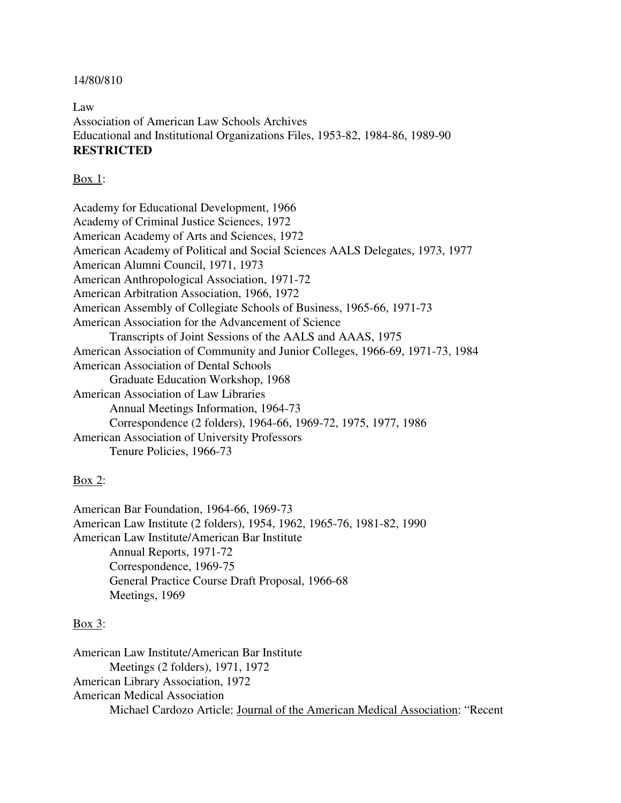## 14/80/810

Law Association of American Law Schools Archives Educational and Institutional Organizations Files, 1953-82, 1984-86, 1989-90 **RESTRICTED**

## Box 1:

Academy for Educational Development, 1966 Academy of Criminal Justice Sciences, 1972 American Academy of Arts and Sciences, 1972 American Academy of Political and Social Sciences AALS Delegates, 1973, 1977 American Alumni Council, 1971, 1973 American Anthropological Association, 1971-72 American Arbitration Association, 1966, 1972 American Assembly of Collegiate Schools of Business, 1965-66, 1971-73 American Association for the Advancement of Science Transcripts of Joint Sessions of the AALS and AAAS, 1975 American Association of Community and Junior Colleges, 1966-69, 1971-73, 1984 American Association of Dental Schools Graduate Education Workshop, 1968 American Association of Law Libraries Annual Meetings Information, 1964-73 Correspondence (2 folders), 1964-66, 1969-72, 1975, 1977, 1986 American Association of University Professors Tenure Policies, 1966-73

# Box 2:

American Bar Foundation, 1964-66, 1969-73 American Law Institute (2 folders), 1954, 1962, 1965-76, 1981-82, 1990 American Law Institute/American Bar Institute Annual Reports, 1971-72 Correspondence, 1969-75 General Practice Course Draft Proposal, 1966-68 Meetings, 1969

## Box 3:

American Law Institute/American Bar Institute Meetings (2 folders), 1971, 1972 American Library Association, 1972 American Medical Association Michael Cardozo Article: Journal of the American Medical Association: "Recent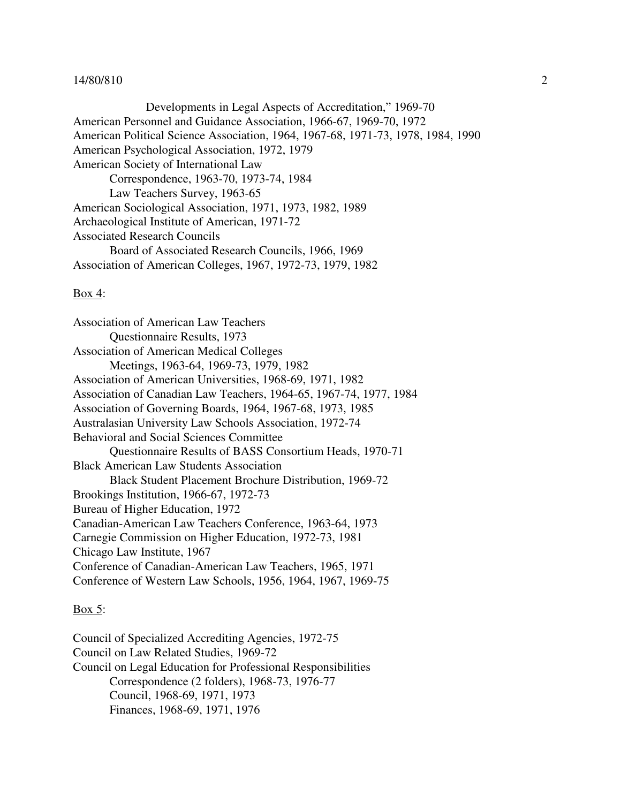Developments in Legal Aspects of Accreditation," 1969-70 American Personnel and Guidance Association, 1966-67, 1969-70, 1972 American Political Science Association, 1964, 1967-68, 1971-73, 1978, 1984, 1990 American Psychological Association, 1972, 1979 American Society of International Law Correspondence, 1963-70, 1973-74, 1984 Law Teachers Survey, 1963-65 American Sociological Association, 1971, 1973, 1982, 1989 Archaeological Institute of American, 1971-72 Associated Research Councils Board of Associated Research Councils, 1966, 1969 Association of American Colleges, 1967, 1972-73, 1979, 1982

#### Box 4:

Association of American Law Teachers Questionnaire Results, 1973 Association of American Medical Colleges Meetings, 1963-64, 1969-73, 1979, 1982 Association of American Universities, 1968-69, 1971, 1982 Association of Canadian Law Teachers, 1964-65, 1967-74, 1977, 1984 Association of Governing Boards, 1964, 1967-68, 1973, 1985 Australasian University Law Schools Association, 1972-74 Behavioral and Social Sciences Committee Questionnaire Results of BASS Consortium Heads, 1970-71 Black American Law Students Association Black Student Placement Brochure Distribution, 1969-72 Brookings Institution, 1966-67, 1972-73 Bureau of Higher Education, 1972 Canadian-American Law Teachers Conference, 1963-64, 1973 Carnegie Commission on Higher Education, 1972-73, 1981 Chicago Law Institute, 1967 Conference of Canadian-American Law Teachers, 1965, 1971 Conference of Western Law Schools, 1956, 1964, 1967, 1969-75

# $\underline{\text{Box}}$  5:

Council of Specialized Accrediting Agencies, 1972-75 Council on Law Related Studies, 1969-72 Council on Legal Education for Professional Responsibilities Correspondence (2 folders), 1968-73, 1976-77 Council, 1968-69, 1971, 1973 Finances, 1968-69, 1971, 1976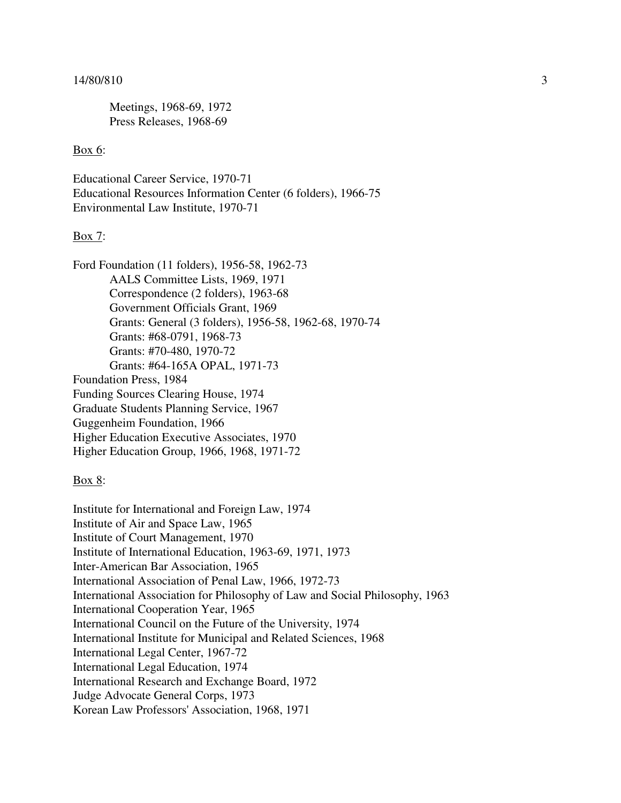Meetings, 1968-69, 1972 Press Releases, 1968-69

# Box 6:

Educational Career Service, 1970-71 Educational Resources Information Center (6 folders), 1966-75 Environmental Law Institute, 1970-71

## Box 7:

| Ford Foundation (11 folders), 1956-58, 1962-73         |
|--------------------------------------------------------|
| AALS Committee Lists, 1969, 1971                       |
| Correspondence (2 folders), 1963-68                    |
| Government Officials Grant, 1969                       |
| Grants: General (3 folders), 1956-58, 1962-68, 1970-74 |
| Grants: #68-0791, 1968-73                              |
| Grants: #70-480, 1970-72                               |
| Grants: #64-165A OPAL, 1971-73                         |
| <b>Foundation Press, 1984</b>                          |
| Funding Sources Clearing House, 1974                   |
| Graduate Students Planning Service, 1967               |
| Guggenheim Foundation, 1966                            |
| Higher Education Executive Associates, 1970            |
| Higher Education Group, 1966, 1968, 1971-72            |
|                                                        |

## Box 8:

Institute for International and Foreign Law, 1974 Institute of Air and Space Law, 1965 Institute of Court Management, 1970 Institute of International Education, 1963-69, 1971, 1973 Inter-American Bar Association, 1965 International Association of Penal Law, 1966, 1972-73 International Association for Philosophy of Law and Social Philosophy, 1963 International Cooperation Year, 1965 International Council on the Future of the University, 1974 International Institute for Municipal and Related Sciences, 1968 International Legal Center, 1967-72 International Legal Education, 1974 International Research and Exchange Board, 1972 Judge Advocate General Corps, 1973 Korean Law Professors' Association, 1968, 1971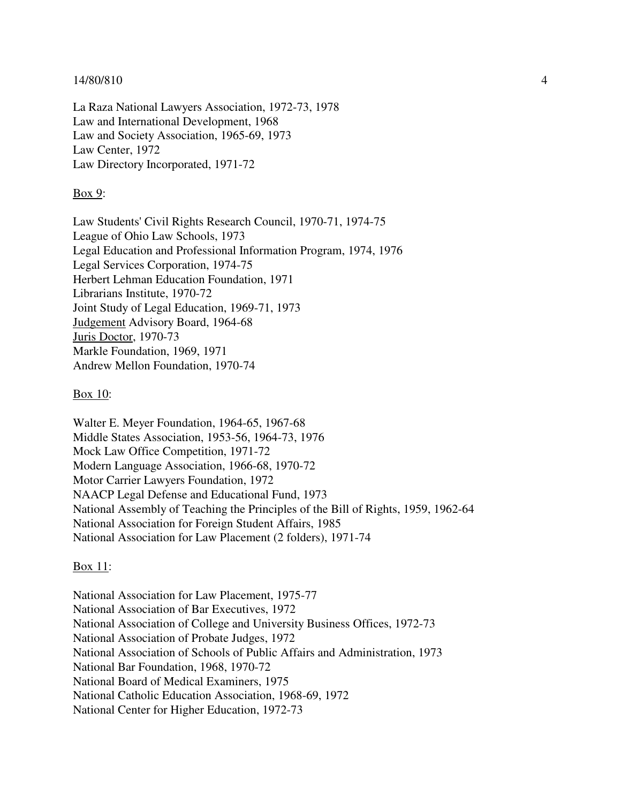La Raza National Lawyers Association, 1972-73, 1978 Law and International Development, 1968 Law and Society Association, 1965-69, 1973 Law Center, 1972 Law Directory Incorporated, 1971-72

### Box 9:

Law Students' Civil Rights Research Council, 1970-71, 1974-75 League of Ohio Law Schools, 1973 Legal Education and Professional Information Program, 1974, 1976 Legal Services Corporation, 1974-75 Herbert Lehman Education Foundation, 1971 Librarians Institute, 1970-72 Joint Study of Legal Education, 1969-71, 1973 Judgement Advisory Board, 1964-68 Juris Doctor, 1970-73 Markle Foundation, 1969, 1971 Andrew Mellon Foundation, 1970-74

#### Box 10:

Walter E. Meyer Foundation, 1964-65, 1967-68 Middle States Association, 1953-56, 1964-73, 1976 Mock Law Office Competition, 1971-72 Modern Language Association, 1966-68, 1970-72 Motor Carrier Lawyers Foundation, 1972 NAACP Legal Defense and Educational Fund, 1973 National Assembly of Teaching the Principles of the Bill of Rights, 1959, 1962-64 National Association for Foreign Student Affairs, 1985 National Association for Law Placement (2 folders), 1971-74

#### Box 11:

National Association for Law Placement, 1975-77 National Association of Bar Executives, 1972 National Association of College and University Business Offices, 1972-73 National Association of Probate Judges, 1972 National Association of Schools of Public Affairs and Administration, 1973 National Bar Foundation, 1968, 1970-72 National Board of Medical Examiners, 1975 National Catholic Education Association, 1968-69, 1972 National Center for Higher Education, 1972-73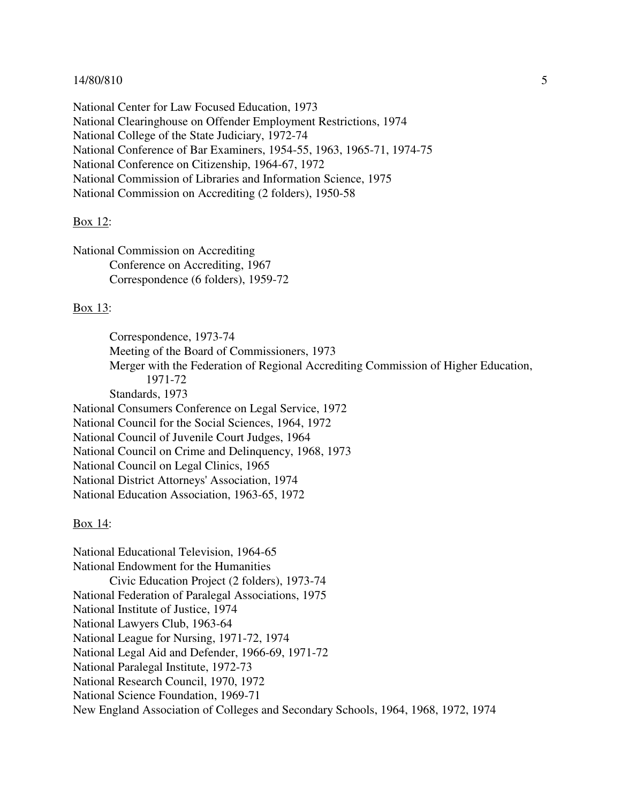National Center for Law Focused Education, 1973 National Clearinghouse on Offender Employment Restrictions, 1974 National College of the State Judiciary, 1972-74 National Conference of Bar Examiners, 1954-55, 1963, 1965-71, 1974-75 National Conference on Citizenship, 1964-67, 1972 National Commission of Libraries and Information Science, 1975 National Commission on Accrediting (2 folders), 1950-58

#### Box 12:

National Commission on Accrediting Conference on Accrediting, 1967 Correspondence (6 folders), 1959-72

## Box 13:

Correspondence, 1973-74 Meeting of the Board of Commissioners, 1973 Merger with the Federation of Regional Accrediting Commission of Higher Education, 1971-72 Standards, 1973 National Consumers Conference on Legal Service, 1972 National Council for the Social Sciences, 1964, 1972 National Council of Juvenile Court Judges, 1964 National Council on Crime and Delinquency, 1968, 1973 National Council on Legal Clinics, 1965 National District Attorneys' Association, 1974 National Education Association, 1963-65, 1972

#### Box 14:

National Educational Television, 1964-65 National Endowment for the Humanities Civic Education Project (2 folders), 1973-74 National Federation of Paralegal Associations, 1975 National Institute of Justice, 1974 National Lawyers Club, 1963-64 National League for Nursing, 1971-72, 1974 National Legal Aid and Defender, 1966-69, 1971-72 National Paralegal Institute, 1972-73 National Research Council, 1970, 1972 National Science Foundation, 1969-71 New England Association of Colleges and Secondary Schools, 1964, 1968, 1972, 1974